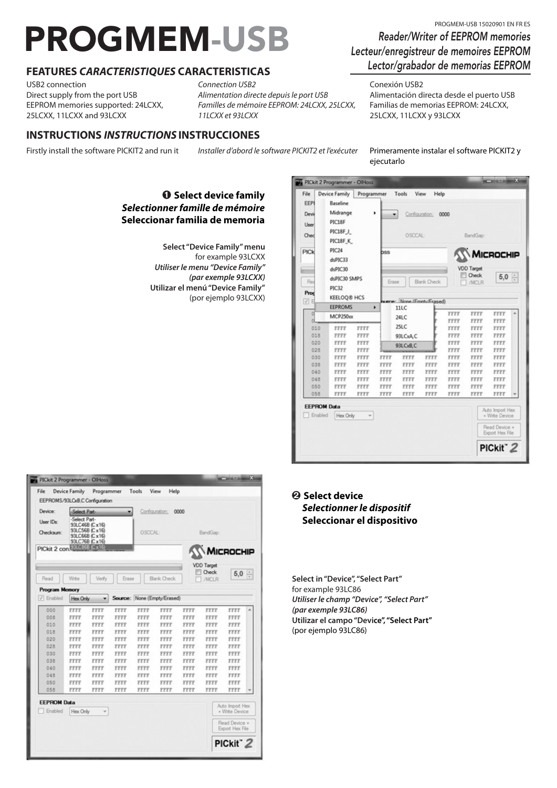# PROGMEM-USB 15020901 EN FROGMEM-USB 15020901 EN FRES

# **FEATURES** *CARACTERISTIQUES* **CARACTERISTICAS**

USB2 connection Direct supply from the port USB EEPROM memories supported: 24LCXX, 25LCXX, 11LCXX and 93LCXX

*Connection USB2 Alimentation directe depuis le port USB Familles de mémoire EEPROM: 24LCXX, 25LCXX, 11LCXX et 93LCXX*

## **INSTRUCTIONS** *INSTRUCTIONS* **INSTRUCCIONES**

Firstly install the software PICKIT2 and run it *Installer d'abord le software PICKIT2 et l'exécuter* Primeramente instalar el software PICKIT2 y

## � **Select device family** *Selectionner famille de mémoire* **Seleccionar familia de memoria**

**Select "Device Family" menu**  for example 93LCXX *Utiliser le menu "Device Family" (par exemple 93LCXX)* **Utilizar el menú "Device Family"** (por ejemplo 93LCXX)

| File               | Device Family      | Programmer |             | Tools                     | <b>View</b><br>Help |              |              |                                   |  |
|--------------------|--------------------|------------|-------------|---------------------------|---------------------|--------------|--------------|-----------------------------------|--|
| FFP                | Baseline           |            |             |                           |                     |              |              |                                   |  |
| Devi               | Midrange           |            | ٠<br>۰      |                           | Configuration;      | 0000         |              |                                   |  |
|                    | PIC18F             |            |             |                           |                     |              |              |                                   |  |
| User               | PIC18FJ            |            |             |                           |                     |              |              |                                   |  |
| Chec               |                    |            |             | OSCCAL-                   |                     |              | BandGap:     |                                   |  |
|                    | PIC18F K           |            |             |                           |                     |              |              |                                   |  |
| PICk               | <b>PIC24</b>       |            | <b>bss</b>  |                           |                     |              |              | MICROCHIP                         |  |
|                    | dsPIC33            |            |             |                           |                     |              |              |                                   |  |
|                    | dsPIC30            |            |             |                           |                     |              | VDD Target   |                                   |  |
|                    | dsPIC30 SMPS       |            |             |                           |                     |              | Check        | $5,0 \div$                        |  |
| Reg                | <b>PIC32</b>       |            | Erase       |                           | Blank Check         |              | /MCLR        |                                   |  |
| Proc               | <b>KEELOQ® HCS</b> |            |             |                           |                     |              |              |                                   |  |
| V E                |                    |            |             | Name: None (EmphilErased) |                     |              |              |                                   |  |
|                    |                    |            |             |                           |                     |              |              |                                   |  |
|                    | <b>EEPROMS</b>     |            | ٠           | 11LC                      |                     |              |              |                                   |  |
|                    | MCP250xx           |            |             | 24LC                      |                     | FFFF<br>FFFF | FFFF<br>FFFF | FFFF<br>FFFF                      |  |
| 010                | FFFF               | FFFF       |             | 25LC                      |                     | FFFF         | FFFF         | FFFF                              |  |
| 018                | FFFF               | FFFF       |             | 93LCxA.C                  |                     | FFFF         | FFFF         | FFFF                              |  |
| 020                | FFFF               | FFFF       |             |                           |                     | FFFF         | FFFF         | FFFF                              |  |
| 028                | FFFF               | FFFF       |             | 93LCxB,C                  |                     | FFFF         | FFFF         | FFFF                              |  |
| 030                | FFFF               | FFFF       | FFFF        | FFFF                      | FFFF                | FFFF         | FFFF         | FFFF                              |  |
| 038                | FFFF               | FFFF       | FFFF        | FFFF                      | FFFF                | FFFF         | FFFF         | FFFF                              |  |
| 040                | <b>FFFF</b>        | FFFF       | <b>FFFF</b> | FFFF                      | FFFF                | <b>FFFF</b>  | <b>FFFF</b>  | FFFF                              |  |
| 048                | FFFF               | FFFF       | FFFF        | FFFF                      | FFFF                | FFFF         | FFFF         | FFFF                              |  |
| 050                | FFFF               | FFFF       | FFFF        | <b>FFFF</b>               | FFFF                | <b>FFFF</b>  | <b>FFFF</b>  | FFFF                              |  |
| 058                | FFFF               | FFFF       | FFFF        | FFFF                      | FFFF                | FFFF         | FFFF         | FFFF                              |  |
| <b>EEPROM Data</b> |                    |            |             |                           |                     |              |              |                                   |  |
| Enabled            | Hex Only           |            |             |                           |                     |              |              | Auto Import Hex<br>+ Write Device |  |

| Device:                            | Select Part-  | EEPROMS/93LCxB.C Configuration                                       |              |                             | Configuration: 0000 |              |                                            |              |  |
|------------------------------------|---------------|----------------------------------------------------------------------|--------------|-----------------------------|---------------------|--------------|--------------------------------------------|--------------|--|
| User IDs:<br>Checksum:             | -Select Part- | 93LC46B (Cx16)<br>93LC56B (Cx16)<br>93LC66B (Cx16)<br>93LC76B (Cx16) |              |                             | OSCCAL-<br>BandGap: |              |                                            |              |  |
| PICkit 2 con Stress Cx15           |               |                                                                      |              |                             |                     |              |                                            | MICROCHIP    |  |
| Read                               | Write         | Verfy                                                                | Erase        |                             | Blank Check         |              | VDD Target<br><b>Check</b><br><b>/MCLR</b> | 5.0          |  |
| <b>Program Memory</b><br>V Enabled | Hex Only      | ٠                                                                    |              | Source: None (Empty/Erased) |                     |              |                                            |              |  |
|                                    |               |                                                                      |              |                             |                     |              |                                            |              |  |
| 000<br>one                         | FFFF<br>FFFF  | FFFF<br>FFFF                                                         | FFFF<br>FFFF | FFFF<br>FFFF                | FFFF<br>FFFF        | FFFF<br>FFFF | FFFF<br>FFFF                               | FFFF<br>FFFF |  |
| 010                                | FFFF          | FFFF                                                                 | FFFF         | FFFF                        | FFFF                | FFFF         | FFFF                                       | FFFF         |  |
|                                    |               |                                                                      |              | FFFF                        | FFFF                | FFFF         | FFFF                                       | FFFF         |  |
|                                    |               |                                                                      |              |                             |                     |              |                                            |              |  |
| 018                                | FFFF          | FFFF                                                                 | FFFF         |                             |                     |              |                                            |              |  |
| 020<br>028                         | FFFF<br>FFFF  | FFFF<br>FFFF                                                         | FFFF<br>FFFF | <b>FFFF</b><br>FFFF         | FFFF<br>FFFF        | FFFF<br>FFFF | FFFF<br>FFFF                               | FFFF<br>FFFF |  |
| 030                                | FFFF          | FFFF                                                                 | FFFF         | FFFF                        | FFFF                | FFFF         | FFFF                                       | FFFF         |  |
| 038                                | FFFF          | FFFF                                                                 | FFFF         | FFFF                        | FFFF                | FFFF         | FFFF                                       | FFFF         |  |
| 040                                | FFFF          | FFFF                                                                 | FFFF         | FFFF                        | FFFF                | FFFF         | FFFF                                       | FFFF         |  |
| 048                                | FFFF          | FFFF                                                                 | FFFF         | FFFF                        | FFFF                | FFFF         | FFFF                                       | FFFF         |  |
| 050                                | FFFF<br>FFFF  | FFFF                                                                 | FFFF         | FFFF                        | FFFF                | FFFF         | FFFF                                       | FFFF         |  |

#### *@* Select device *Selectionner le dispositif* **Seleccionar el dispositivo**

**Select in "Device", "Select Part"**  for example 93LC86 *Utiliser le champ "Device", "Select Part" (par exemple 93LC86)* **Utilizar el campo "Device", "Select Part"** (por ejemplo 93LC86)

# *Reader/Writer of EEPROM memories Lecteur/enregistreur de memoires EEPROM Lector/grabador de memorias EEPROM*

#### Conexión USB2

Alimentación directa desde el puerto USB Familias de memorias EEPROM: 24LCXX, 25LCXX, 11LCXX y 93LCXX

ejecutarlo